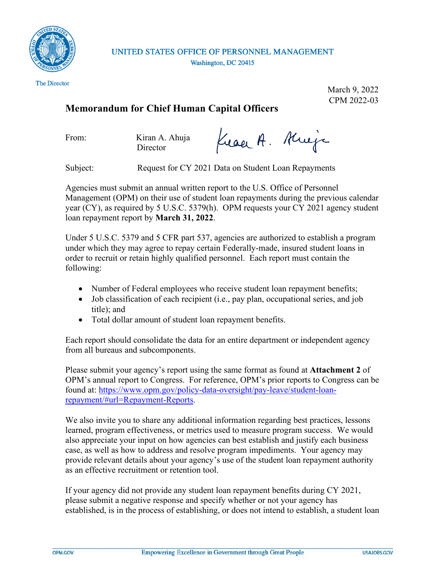

UNITED STATES OFFICE OF PERSONNEL MANAGEMENT Washington, DC 20415

The Director

March 9, 2022 CPM 2022-03

## **Memorandum for Chief Human Capital Officers**

From: Kiran A. Ahuja **Director** 

Kraak. Krije

Subject: Request for CY 2021 Data on Student Loan Repayments

Agencies must submit an annual written report to the U.S. Office of Personnel Management (OPM) on their use of student loan repayments during the previous calendar year (CY), as required by 5 U.S.C. 5379(h). OPM requests your CY 2021 agency student loan repayment report by **March 31, 2022**.

Under 5 U.S.C. 5379 and 5 CFR part 537, agencies are authorized to establish a program under which they may agree to repay certain Federally-made, insured student loans in order to recruit or retain highly qualified personnel. Each report must contain the following:

- Number of Federal employees who receive student loan repayment benefits;
- Job classification of each recipient (i.e., pay plan, occupational series, and job title); and
- Total dollar amount of student loan repayment benefits.

Each report should consolidate the data for an entire department or independent agency from all bureaus and subcomponents.

Please submit your agency's report using the same format as found at **Attachment 2** of OPM's annual report to Congress. For reference, OPM's prior reports to Congress can be found at: [https://www.opm.gov/policy-data-oversight/pay-leave/student-loan](https://www.opm.gov/policy-data-oversight/pay-leave/student-loan-repayment/#url=Repayment-Reports)[repayment/#url=Repayment-Reports.](https://www.opm.gov/policy-data-oversight/pay-leave/student-loan-repayment/#url=Repayment-Reports)

We also invite you to share any additional information regarding best practices, lessons learned, program effectiveness, or metrics used to measure program success. We would also appreciate your input on how agencies can best establish and justify each business case, as well as how to address and resolve program impediments. Your agency may provide relevant details about your agency's use of the student loan repayment authority as an effective recruitment or retention tool.

If your agency did not provide any student loan repayment benefits during CY 2021, please submit a negative response and specify whether or not your agency has established, is in the process of establishing, or does not intend to establish, a student loan